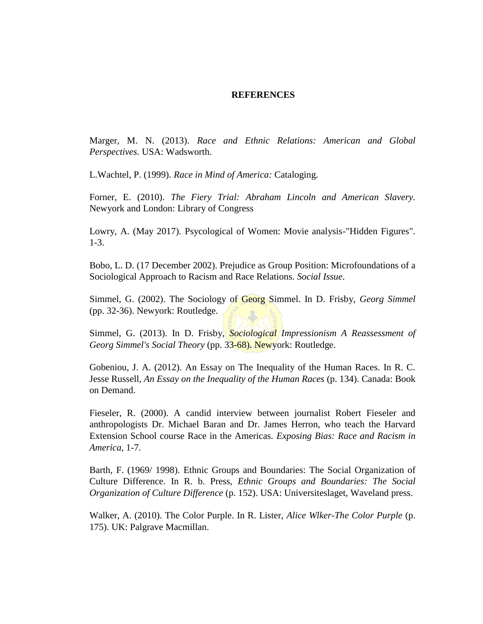## **REFERENCES**

Marger, M. N. (2013). *Race and Ethnic Relations: American and Global Perspectives.* USA: Wadsworth.

L.Wachtel, P. (1999). *Race in Mind of America:* Cataloging.

Forner, E. (2010). *The Fiery Trial: Abraham Lincoln and American Slavery.* Newyork and London: Library of Congress

Lowry, A. (May 2017). Psycological of Women: Movie analysis-"Hidden Figures". 1-3.

Bobo, L. D. (17 December 2002). Prejudice as Group Position: Microfoundations of a Sociological Approach to Racism and Race Relations. *Social Issue*.

Simmel, G. (2002). The Sociology of Georg Simmel. In D. Frisby, *Georg Simmel* (pp. 32-36). Newyork: Routledge.

Simmel, G. (2013). In D. Frisby, *Sociological Impressionism A Reassessment of Georg Simmel's Social Theory* (pp. 33-68). Newyork: Routledge.

Gobeniou, J. A. (2012). An Essay on The Inequality of the Human Races. In R. C. Jesse Russell, *An Essay on the Inequality of the Human Races* (p. 134). Canada: Book on Demand.

Fieseler, R. (2000). A candid interview between journalist Robert Fieseler and anthropologists Dr. Michael Baran and Dr. James Herron, who teach the Harvard Extension School course Race in the Americas. *Exposing Bias: Race and Racism in America*, 1-7.

Barth, F. (1969/ 1998). Ethnic Groups and Boundaries: The Social Organization of Culture Difference. In R. b. Press, *Ethnic Groups and Boundaries: The Social Organization of Culture Difference* (p. 152). USA: Universiteslaget, Waveland press.

Walker, A. (2010). The Color Purple. In R. Lister, *Alice Wlker-The Color Purple* (p. 175). UK: Palgrave Macmillan.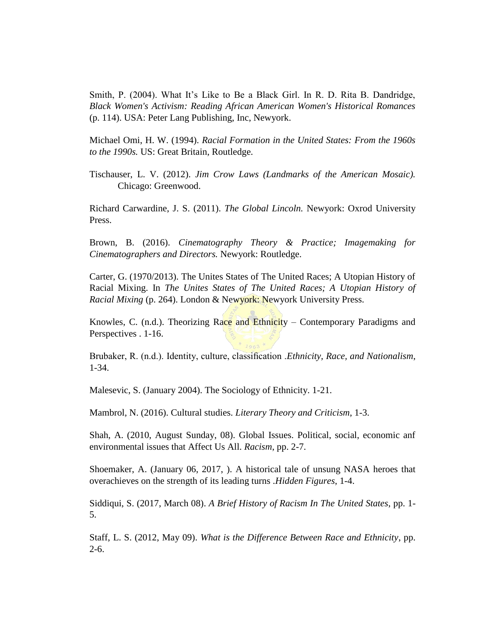Smith, P. (2004). What It's Like to Be a Black Girl. In R. D. Rita B. Dandridge, *Black Women's Activism: Reading African American Women's Historical Romances* (p. 114). USA: Peter Lang Publishing, Inc, Newyork.

Michael Omi, H. W. (1994). *Racial Formation in the United States: From the 1960s to the 1990s.* US: Great Britain, Routledge.

Tischauser, L. V. (2012). *Jim Crow Laws (Landmarks of the American Mosaic).* Chicago: Greenwood.

Richard Carwardine, J. S. (2011). *The Global Lincoln.* Newyork: Oxrod University Press.

Brown, B. (2016). *Cinematography Theory & Practice; Imagemaking for Cinematographers and Directors.* Newyork: Routledge.

Carter, G. (1970/2013). The Unites States of The United Races; A Utopian History of Racial Mixing. In *The Unites States of The United Races; A Utopian History of Racial Mixing* (p. 264). London & Newyork: Newyork University Press.

Knowles, C. (n.d.). Theorizing Race and Ethnicity – Contemporary Paradigms and Perspectives . 1-16.

Brubaker, R. (n.d.). Identity, culture, classification .*Ethnicity, Race, and Nationalism*, 1-34.

Malesevic, S. (January 2004). The Sociology of Ethnicity. 1-21.

Mambrol, N. (2016). Cultural studies. *Literary Theory and Criticism*, 1-3.

Shah, A. (2010, August Sunday, 08). Global Issues. Political, social, economic anf environmental issues that Affect Us All. *Racism*, pp. 2-7.

Shoemaker, A. (January 06, 2017, ). A historical tale of unsung NASA heroes that overachieves on the strength of its leading turns .*Hidden Figures*, 1-4.

Siddiqui, S. (2017, March 08). *A Brief History of Racism In The United States*, pp. 1- 5.

Staff, L. S. (2012, May 09). *What is the Difference Between Race and Ethnicity*, pp. 2-6.